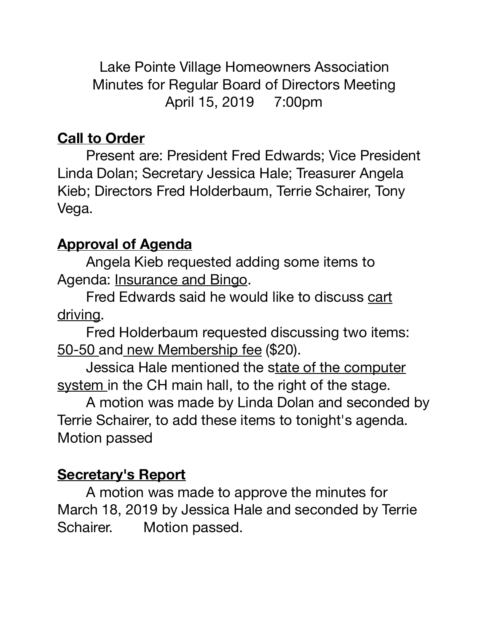Lake Pointe Village Homeowners Association Minutes for Regular Board of Directors Meeting April 15, 2019 7:00pm

### **Call to Order**

Present are: President Fred Edwards; Vice President Linda Dolan; Secretary Jessica Hale; Treasurer Angela Kieb; Directors Fred Holderbaum, Terrie Schairer, Tony Vega.

### **Approval of Agenda**

Angela Kieb requested adding some items to Agenda: Insurance and Bingo.

Fred Edwards said he would like to discuss cart driving.

Fred Holderbaum requested discussing two items: 50-50 and new Membership fee (\$20).

Jessica Hale mentioned the state of the computer system in the CH main hall, to the right of the stage.

A motion was made by Linda Dolan and seconded by Terrie Schairer, to add these items to tonight's agenda. Motion passed 

#### **Secretary's Report**

A motion was made to approve the minutes for March 18, 2019 by Jessica Hale and seconded by Terrie Schairer. Motion passed.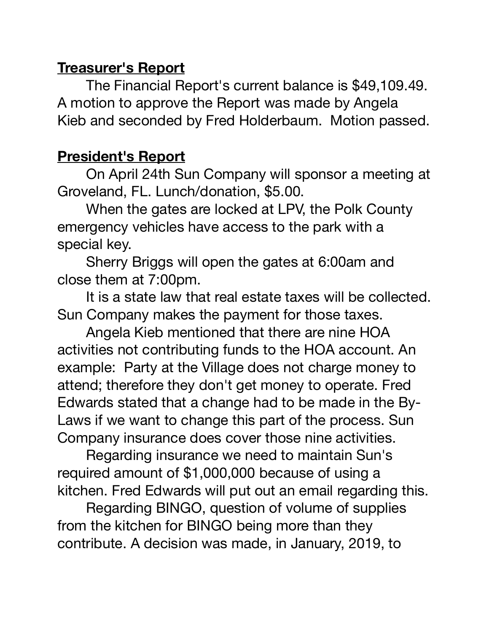### **Treasurer's Report**

The Financial Report's current balance is \$49,109.49. A motion to approve the Report was made by Angela Kieb and seconded by Fred Holderbaum. Motion passed.

## **President's Report**

On April 24th Sun Company will sponsor a meeting at Groveland, FL. Lunch/donation, \$5.00.

When the gates are locked at LPV, the Polk County emergency vehicles have access to the park with a special key.

Sherry Briggs will open the gates at 6:00am and close them at 7:00pm.

It is a state law that real estate taxes will be collected. Sun Company makes the payment for those taxes.

Angela Kieb mentioned that there are nine HOA activities not contributing funds to the HOA account. An example: Party at the Village does not charge money to attend; therefore they don't get money to operate. Fred Edwards stated that a change had to be made in the By-Laws if we want to change this part of the process. Sun Company insurance does cover those nine activities.

Regarding insurance we need to maintain Sun's required amount of \$1,000,000 because of using a kitchen. Fred Edwards will put out an email regarding this.

Regarding BINGO, question of volume of supplies from the kitchen for BINGO being more than they contribute. A decision was made, in January, 2019, to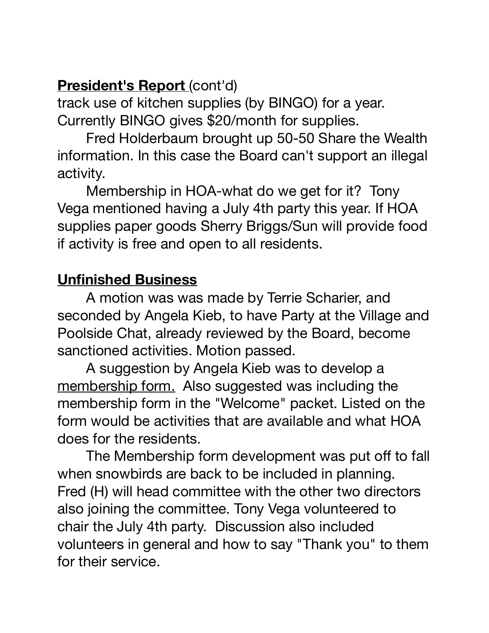# **President's Report** (cont'd)

track use of kitchen supplies (by BINGO) for a year. Currently BINGO gives \$20/month for supplies.

Fred Holderbaum brought up 50-50 Share the Wealth information. In this case the Board can't support an illegal activity.

Membership in HOA-what do we get for it? Tony Vega mentioned having a July 4th party this year. If HOA supplies paper goods Sherry Briggs/Sun will provide food if activity is free and open to all residents.

## **Unfinished Business**

A motion was was made by Terrie Scharier, and seconded by Angela Kieb, to have Party at the Village and Poolside Chat, already reviewed by the Board, become sanctioned activities. Motion passed.

A suggestion by Angela Kieb was to develop a membership form. Also suggested was including the membership form in the "Welcome" packet. Listed on the form would be activities that are available and what HOA does for the residents.

The Membership form development was put off to fall when snowbirds are back to be included in planning. Fred (H) will head committee with the other two directors also joining the committee. Tony Vega volunteered to chair the July 4th party. Discussion also included volunteers in general and how to say "Thank you" to them for their service.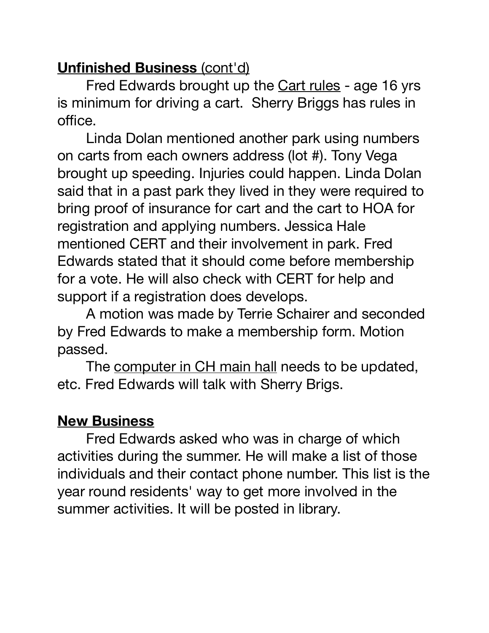# **Unfinished Business** (cont'd)

Fred Edwards brought up the Cart rules - age 16 yrs is minimum for driving a cart. Sherry Briggs has rules in office.

Linda Dolan mentioned another park using numbers on carts from each owners address (lot #). Tony Vega brought up speeding. Injuries could happen. Linda Dolan said that in a past park they lived in they were required to bring proof of insurance for cart and the cart to HOA for registration and applying numbers. Jessica Hale mentioned CERT and their involvement in park. Fred Edwards stated that it should come before membership for a vote. He will also check with CERT for help and support if a registration does develops.

A motion was made by Terrie Schairer and seconded by Fred Edwards to make a membership form. Motion passed.

The computer in CH main hall needs to be updated, etc. Fred Edwards will talk with Sherry Brigs.

# **New Business**

Fred Edwards asked who was in charge of which activities during the summer. He will make a list of those individuals and their contact phone number. This list is the year round residents' way to get more involved in the summer activities. It will be posted in library.